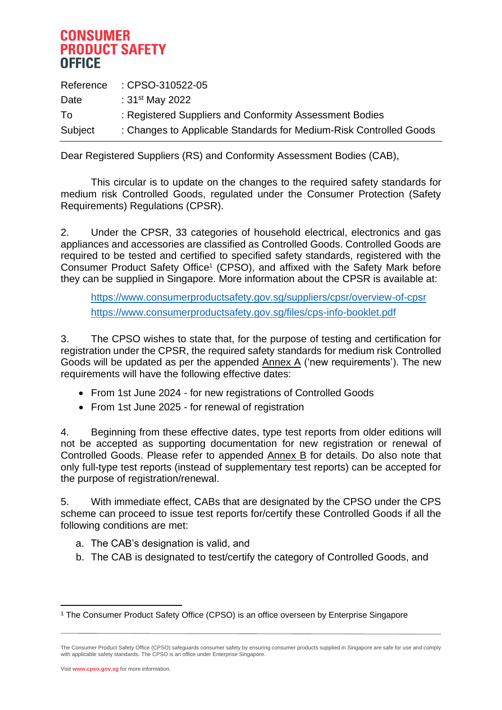|         | Reference : CPSO-310522-05                                         |
|---------|--------------------------------------------------------------------|
| Date    | : $31^{st}$ May 2022                                               |
| To      | : Registered Suppliers and Conformity Assessment Bodies            |
| Subject | : Changes to Applicable Standards for Medium-Risk Controlled Goods |

Dear Registered Suppliers (RS) and Conformity Assessment Bodies (CAB),

This circular is to update on the changes to the required safety standards for medium risk Controlled Goods, regulated under the Consumer Protection (Safety Requirements) Regulations (CPSR).

2. Under the CPSR, 33 categories of household electrical, electronics and gas appliances and accessories are classified as Controlled Goods. Controlled Goods are required to be tested and certified to specified safety standards, registered with the Consumer Product Safety Office 1 (CPSO), and affixed with the Safety Mark before they can be supplied in Singapore. More information about the CPSR is available at:

<https://www.consumerproductsafety.gov.sg/suppliers/cpsr/overview-of-cpsr> <https://www.consumerproductsafety.gov.sg/files/cps-info-booklet.pdf>

3. The CPSO wishes to state that, for the purpose of testing and certification for registration under the CPSR, the required safety standards for medium risk Controlled Goods will be updated as per the appended  $\Delta$ nnex  $\Delta$  ('new requirements'). The new requirements will have the following effective dates:

- From 1st June 2024 for new registrations of Controlled Goods
- From 1st June 2025 for renewal of registration

4. Beginning from these effective dates, type test reports from older editions will not be accepted as supporting documentation for new registration or renewal of Controlled Goods. Please refer to appended Annex B for details. Do also note that only full-type test reports (instead of supplementary test reports) can be accepted for the purpose of registration/renewal.

5. With immediate effect, CABs that are designated by the CPSO under the CPS scheme can proceed to issue test reports for/certify these Controlled Goods if all the following conditions are met:

- a. The CAB's designation is valid, and
- b. The CAB is designated to test/certify the category of Controlled Goods, and

Visit **www.cpso.gov.sg** for more information.

<sup>1</sup> The Consumer Product Safety Office (CPSO) is an office overseen by Enterprise Singapore

The Consumer Product Safety Office (CPSO) safeguards consumer safety by ensuring consumer products supplied in Singapore are safe for use and comply with applicable safety standards. The CPSO is an office under Enterprise Singapore.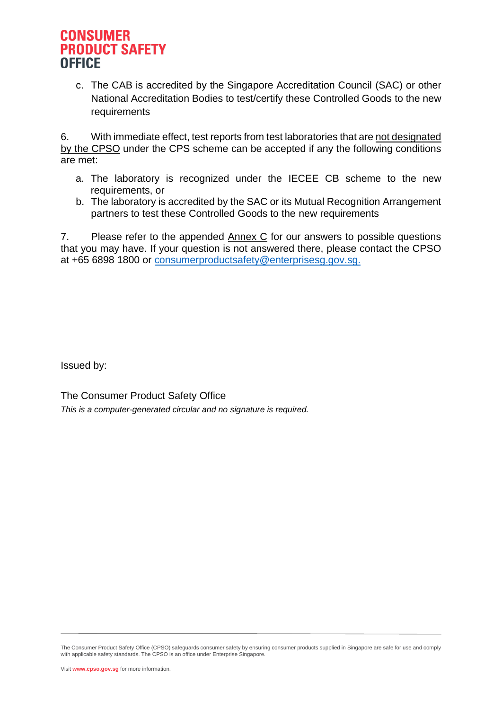c. The CAB is accredited by the Singapore Accreditation Council (SAC) or other National Accreditation Bodies to test/certify these Controlled Goods to the new requirements

6. With immediate effect, test reports from test laboratories that are not designated by the CPSO under the CPS scheme can be accepted if any the following conditions are met:

- a. The laboratory is recognized under the IECEE CB scheme to the new requirements, or
- b. The laboratory is accredited by the SAC or its Mutual Recognition Arrangement partners to test these Controlled Goods to the new requirements

7. Please refer to the appended Annex C for our answers to possible questions that you may have. If your question is not answered there, please contact the CPSO at +65 6898 1800 or [consumerproductsafety@enterprisesg.gov.sg](mailto:consumerproductsafety@enterprisesg.gov.sg).

Issued by:

The Consumer Product Safety Office *This is a computer-generated circular and no signature is required.*

The Consumer Product Safety Office (CPSO) safeguards consumer safety by ensuring consumer products supplied in Singapore are safe for use and comply with applicable safety standards. The CPSO is an office under Enterprise Singapore.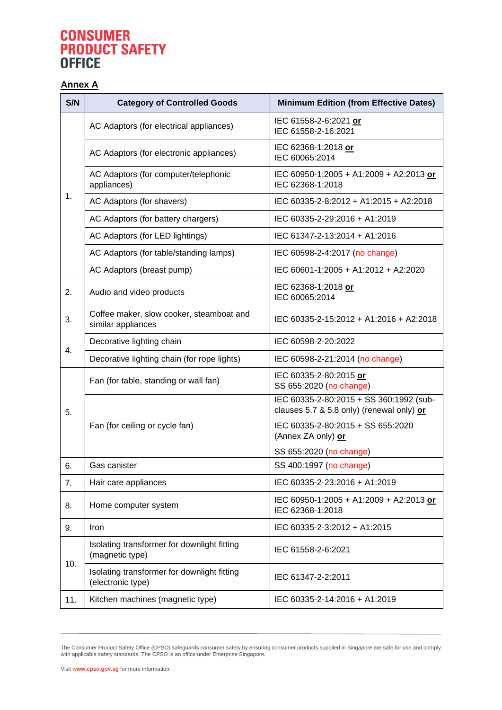### **Annex A**

| S/N | <b>Category of Controlled Goods</b>                              | <b>Minimum Edition (from Effective Dates)</b>                                        |
|-----|------------------------------------------------------------------|--------------------------------------------------------------------------------------|
| 1.  | AC Adaptors (for electrical appliances)                          | IEC 61558-2-6:2021 or<br>IEC 61558-2-16:2021                                         |
|     | AC Adaptors (for electronic appliances)                          | IEC 62368-1:2018 or<br>IEC 60065:2014                                                |
|     | AC Adaptors (for computer/telephonic<br>appliances)              | IEC 60950-1:2005 + A1:2009 + A2:2013 or<br>IEC 62368-1:2018                          |
|     | AC Adaptors (for shavers)                                        | IEC 60335-2-8:2012 + A1:2015 + A2:2018                                               |
|     | AC Adaptors (for battery chargers)                               | IEC 60335-2-29:2016 + A1:2019                                                        |
|     | AC Adaptors (for LED lightings)                                  | IEC 61347-2-13:2014 + A1:2016                                                        |
|     | AC Adaptors (for table/standing lamps)                           | IEC 60598-2-4:2017 (no change)                                                       |
|     | AC Adaptors (breast pump)                                        | IEC 60601-1:2005 + A1:2012 + A2:2020                                                 |
| 2.  | Audio and video products                                         | IEC 62368-1:2018 or<br>IEC 60065:2014                                                |
| 3.  | Coffee maker, slow cooker, steamboat and<br>similar appliances   | IEC 60335-2-15:2012 + A1:2016 + A2:2018                                              |
| 4.  | Decorative lighting chain                                        | IEC 60598-2-20:2022                                                                  |
|     | Decorative lighting chain (for rope lights)                      | IEC 60598-2-21:2014 (no change)                                                      |
| 5.  | Fan (for table, standing or wall fan)                            | IEC 60335-2-80:2015 or<br>SS 655:2020 (no change)                                    |
|     |                                                                  | IEC 60335-2-80:2015 + SS 360:1992 (sub-<br>clauses 5.7 & 5.8 only) (renewal only) or |
|     | Fan (for ceiling or cycle fan)                                   | IEC 60335-2-80:2015 + SS 655:2020<br>(Annex ZA only) or                              |
|     |                                                                  | SS 655:2020 (no change)                                                              |
| 6.  | Gas canister                                                     | SS 400:1997 (no change)                                                              |
| 7.  | Hair care appliances                                             | IEC 60335-2-23:2016 + A1:2019                                                        |
| 8.  | Home computer system                                             | IEC 60950-1:2005 + A1:2009 + A2:2013 or<br>IEC 62368-1:2018                          |
| 9.  | Iron                                                             | IEC 60335-2-3:2012 + A1:2015                                                         |
| 10. | Isolating transformer for downlight fitting<br>(magnetic type)   | IEC 61558-2-6:2021                                                                   |
|     | Isolating transformer for downlight fitting<br>(electronic type) | IEC 61347-2-2:2011                                                                   |
| 11. | Kitchen machines (magnetic type)                                 | IEC 60335-2-14:2016 + A1:2019                                                        |

The Consumer Product Safety Office (CPSO) safeguards consumer safety by ensuring consumer products supplied in Singapore are safe for use and comply<br>with applicable safety standards. The CPSO is an office under Enterprise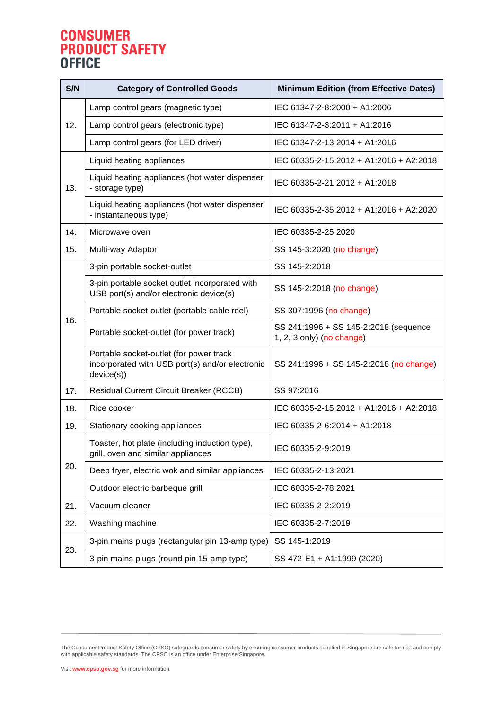# **CONSUMER<br>PRODUCT SAFETY<br>OFFICE**

| S/N | <b>Category of Controlled Goods</b>                                                                      | <b>Minimum Edition (from Effective Dates)</b>                      |
|-----|----------------------------------------------------------------------------------------------------------|--------------------------------------------------------------------|
| 12. | Lamp control gears (magnetic type)                                                                       | IEC 61347-2-8:2000 + A1:2006                                       |
|     | Lamp control gears (electronic type)                                                                     | IEC 61347-2-3:2011 + A1:2016                                       |
|     | Lamp control gears (for LED driver)                                                                      | IEC 61347-2-13:2014 + A1:2016                                      |
| 13. | Liquid heating appliances                                                                                | IEC 60335-2-15:2012 + A1:2016 + A2:2018                            |
|     | Liquid heating appliances (hot water dispenser<br>- storage type)                                        | IEC 60335-2-21:2012 + A1:2018                                      |
|     | Liquid heating appliances (hot water dispenser<br>- instantaneous type)                                  | IEC 60335-2-35:2012 + A1:2016 + A2:2020                            |
| 14. | Microwave oven                                                                                           | IEC 60335-2-25:2020                                                |
| 15. | Multi-way Adaptor                                                                                        | SS 145-3:2020 (no change)                                          |
| 16. | 3-pin portable socket-outlet                                                                             | SS 145-2:2018                                                      |
|     | 3-pin portable socket outlet incorporated with<br>USB port(s) and/or electronic device(s)                | SS 145-2:2018 (no change)                                          |
|     | Portable socket-outlet (portable cable reel)                                                             | SS 307:1996 (no change)                                            |
|     | Portable socket-outlet (for power track)                                                                 | SS 241:1996 + SS 145-2:2018 (sequence<br>1, 2, 3 only) (no change) |
|     | Portable socket-outlet (for power track<br>incorporated with USB port(s) and/or electronic<br>device(s)) | SS 241:1996 + SS 145-2:2018 (no change)                            |
| 17. | <b>Residual Current Circuit Breaker (RCCB)</b>                                                           | SS 97:2016                                                         |
| 18. | Rice cooker                                                                                              | IEC 60335-2-15:2012 + A1:2016 + A2:2018                            |
| 19. | Stationary cooking appliances                                                                            | IEC 60335-2-6:2014 + A1:2018                                       |
|     | Toaster, hot plate (including induction type),<br>grill, oven and similar appliances                     | IEC 60335-2-9:2019                                                 |
| 20. | Deep fryer, electric wok and similar appliances                                                          | IEC 60335-2-13:2021                                                |
|     | Outdoor electric barbeque grill                                                                          | IEC 60335-2-78:2021                                                |
| 21. | Vacuum cleaner                                                                                           | IEC 60335-2-2:2019                                                 |
| 22. | Washing machine                                                                                          | IEC 60335-2-7:2019                                                 |
| 23. | 3-pin mains plugs (rectangular pin 13-amp type)                                                          | SS 145-1:2019                                                      |
|     | 3-pin mains plugs (round pin 15-amp type)                                                                | SS 472-E1 + A1:1999 (2020)                                         |

The Consumer Product Safety Office (CPSO) safeguards consumer safety by ensuring consumer products supplied in Singapore are safe for use and comply<br>with applicable safety standards. The CPSO is an office under Enterprise